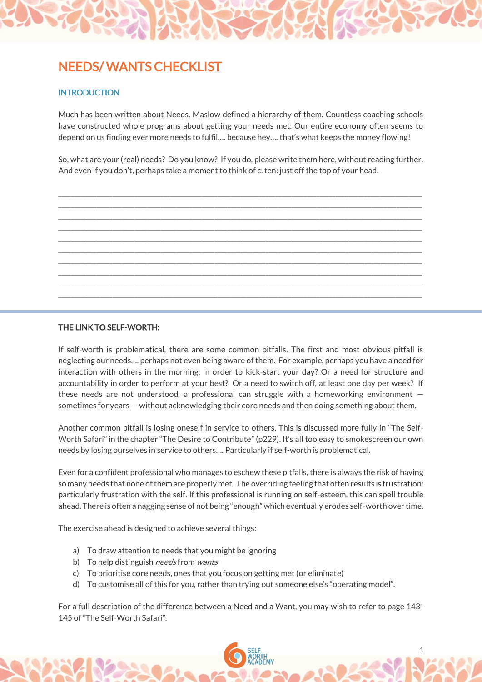# NEEDS/ WANTS CHECKLIST

### **INTRODUCTION**

Much has been written about Needs. Maslow defined a hierarchy of them. Countless coaching schools have constructed whole programs about getting your needs met. Our entire economy often seems to depend on us finding ever more needs to fulfil…. because hey…. that's what keeps the money flowing!

So, what are your (real) needs? Do you know? If you do, please write them here, without reading further. And even if you don't, perhaps take a moment to think of c. ten: just off the top of your head.

\_\_\_\_\_\_\_\_\_\_\_\_\_\_\_\_\_\_\_\_\_\_\_\_\_\_\_\_\_\_\_\_\_\_\_\_\_\_\_\_\_\_\_\_\_\_\_\_\_\_\_\_\_\_\_\_\_\_\_\_\_\_\_\_\_\_\_\_\_\_\_\_\_\_\_\_\_\_\_\_\_\_\_\_\_\_\_\_\_\_\_\_\_\_\_\_\_\_\_\_\_\_\_\_\_\_\_\_\_\_\_\_\_\_ \_\_\_\_\_\_\_\_\_\_\_\_\_\_\_\_\_\_\_\_\_\_\_\_\_\_\_\_\_\_\_\_\_\_\_\_\_\_\_\_\_\_\_\_\_\_\_\_\_\_\_\_\_\_\_\_\_\_\_\_\_\_\_\_\_\_\_\_\_\_\_\_\_\_\_\_\_\_\_\_\_\_\_\_\_\_\_\_\_\_\_\_\_\_\_\_\_\_\_\_\_\_\_\_\_\_\_\_\_\_\_\_\_\_ \_\_\_\_\_\_\_\_\_\_\_\_\_\_\_\_\_\_\_\_\_\_\_\_\_\_\_\_\_\_\_\_\_\_\_\_\_\_\_\_\_\_\_\_\_\_\_\_\_\_\_\_\_\_\_\_\_\_\_\_\_\_\_\_\_\_\_\_\_\_\_\_\_\_\_\_\_\_\_\_\_\_\_\_\_\_\_\_\_\_\_\_\_\_\_\_\_\_\_\_\_\_\_\_\_\_\_\_\_\_\_\_\_\_ \_\_\_\_\_\_\_\_\_\_\_\_\_\_\_\_\_\_\_\_\_\_\_\_\_\_\_\_\_\_\_\_\_\_\_\_\_\_\_\_\_\_\_\_\_\_\_\_\_\_\_\_\_\_\_\_\_\_\_\_\_\_\_\_\_\_\_\_\_\_\_\_\_\_\_\_\_\_\_\_\_\_\_\_\_\_\_\_\_\_\_\_\_\_\_\_\_\_\_\_\_\_\_\_\_\_\_\_\_\_\_\_\_\_ \_\_\_\_\_\_\_\_\_\_\_\_\_\_\_\_\_\_\_\_\_\_\_\_\_\_\_\_\_\_\_\_\_\_\_\_\_\_\_\_\_\_\_\_\_\_\_\_\_\_\_\_\_\_\_\_\_\_\_\_\_\_\_\_\_\_\_\_\_\_\_\_\_\_\_\_\_\_\_\_\_\_\_\_\_\_\_\_\_\_\_\_\_\_\_\_\_\_\_\_\_\_\_\_\_\_\_\_\_\_\_\_\_\_ \_\_\_\_\_\_\_\_\_\_\_\_\_\_\_\_\_\_\_\_\_\_\_\_\_\_\_\_\_\_\_\_\_\_\_\_\_\_\_\_\_\_\_\_\_\_\_\_\_\_\_\_\_\_\_\_\_\_\_\_\_\_\_\_\_\_\_\_\_\_\_\_\_\_\_\_\_\_\_\_\_\_\_\_\_\_\_\_\_\_\_\_\_\_\_\_\_\_\_\_\_\_\_\_\_\_\_\_\_\_\_\_\_\_ \_\_\_\_\_\_\_\_\_\_\_\_\_\_\_\_\_\_\_\_\_\_\_\_\_\_\_\_\_\_\_\_\_\_\_\_\_\_\_\_\_\_\_\_\_\_\_\_\_\_\_\_\_\_\_\_\_\_\_\_\_\_\_\_\_\_\_\_\_\_\_\_\_\_\_\_\_\_\_\_\_\_\_\_\_\_\_\_\_\_\_\_\_\_\_\_\_\_\_\_\_\_\_\_\_\_\_\_\_\_\_\_\_\_ \_\_\_\_\_\_\_\_\_\_\_\_\_\_\_\_\_\_\_\_\_\_\_\_\_\_\_\_\_\_\_\_\_\_\_\_\_\_\_\_\_\_\_\_\_\_\_\_\_\_\_\_\_\_\_\_\_\_\_\_\_\_\_\_\_\_\_\_\_\_\_\_\_\_\_\_\_\_\_\_\_\_\_\_\_\_\_\_\_\_\_\_\_\_\_\_\_\_\_\_\_\_\_\_\_\_\_\_\_\_\_\_\_\_ \_\_\_\_\_\_\_\_\_\_\_\_\_\_\_\_\_\_\_\_\_\_\_\_\_\_\_\_\_\_\_\_\_\_\_\_\_\_\_\_\_\_\_\_\_\_\_\_\_\_\_\_\_\_\_\_\_\_\_\_\_\_\_\_\_\_\_\_\_\_\_\_\_\_\_\_\_\_\_\_\_\_\_\_\_\_\_\_\_\_\_\_\_\_\_\_\_\_\_\_\_\_\_\_\_\_\_\_\_\_\_\_\_\_ \_\_\_\_\_\_\_\_\_\_\_\_\_\_\_\_\_\_\_\_\_\_\_\_\_\_\_\_\_\_\_\_\_\_\_\_\_\_\_\_\_\_\_\_\_\_\_\_\_\_\_\_\_\_\_\_\_\_\_\_\_\_\_\_\_\_\_\_\_\_\_\_\_\_\_\_\_\_\_\_\_\_\_\_\_\_\_\_\_\_\_\_\_\_\_\_\_\_\_\_\_\_\_\_\_\_\_\_\_\_\_\_\_\_



If self-worth is problematical, there are some common pitfalls. The first and most obvious pitfall is neglecting our needs…. perhaps not even being aware of them. For example, perhaps you have a need for interaction with others in the morning, in order to kick-start your day? Or a need for structure and accountability in order to perform at your best? Or a need to switch off, at least one day per week? If these needs are not understood, a professional can struggle with a homeworking environment  $$ sometimes for years — without acknowledging their core needs and then doing something about them.

Another common pitfall is losing oneself in service to others. This is discussed more fully in "The Self-Worth Safari" in the chapter "The Desire to Contribute" (p229). It's all too easy to smokescreen our own needs by losing ourselves in service to others…. Particularly if self-worth is problematical.

Even for a confident professional who manages to eschew these pitfalls, there is always the risk of having so many needs that none of them are properly met. The overriding feeling that often results is frustration: particularly frustration with the self. If this professional is running on self-esteem, this can spell trouble ahead. There is often a nagging sense of not being "enough" which eventually erodes self-worth over time.

The exercise ahead is designed to achieve several things:

- a) To draw attention to needs that you might be ignoring
- b) To help distinguish *needs* from *wants*
- c) To prioritise core needs, ones that you focus on getting met (or eliminate)
- d) To customise all of this for you, rather than trying out someone else's "operating model".

For a full description of the difference between a Need and a Want, you may wish to refer to page 143- 145 of "The Self-Worth Safari".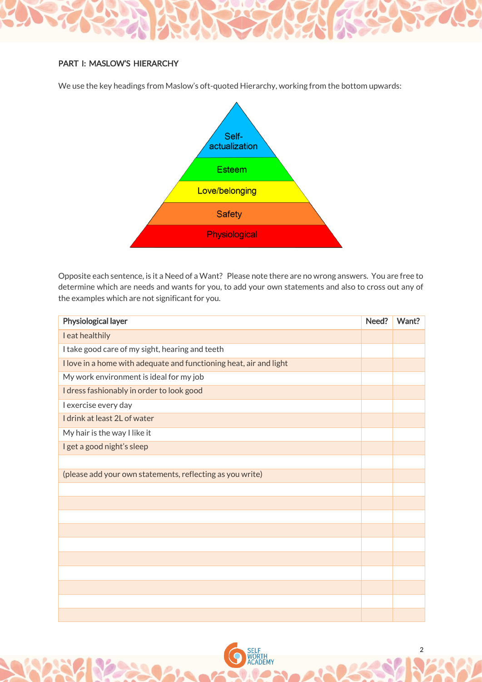# PART I: MASLOW'S HIERARCHY

We use the key headings from Maslow's oft-quoted Hierarchy, working from the bottom upwards:



Opposite each sentence, is it a Need of a Want? Please note there are no wrong answers. You are free to determine which are needs and wants for you, to add your own statements and also to cross out any of the examples which are not significant for you.

| Physiological layer                                                | Need? | Want? |
|--------------------------------------------------------------------|-------|-------|
| I eat healthily                                                    |       |       |
| I take good care of my sight, hearing and teeth                    |       |       |
| I love in a home with adequate and functioning heat, air and light |       |       |
| My work environment is ideal for my job                            |       |       |
| I dress fashionably in order to look good                          |       |       |
| I exercise every day                                               |       |       |
| I drink at least 2L of water                                       |       |       |
| My hair is the way I like it                                       |       |       |
| I get a good night's sleep                                         |       |       |
|                                                                    |       |       |
| (please add your own statements, reflecting as you write)          |       |       |
|                                                                    |       |       |
|                                                                    |       |       |
|                                                                    |       |       |
|                                                                    |       |       |
|                                                                    |       |       |
|                                                                    |       |       |
|                                                                    |       |       |
|                                                                    |       |       |
|                                                                    |       |       |
|                                                                    |       |       |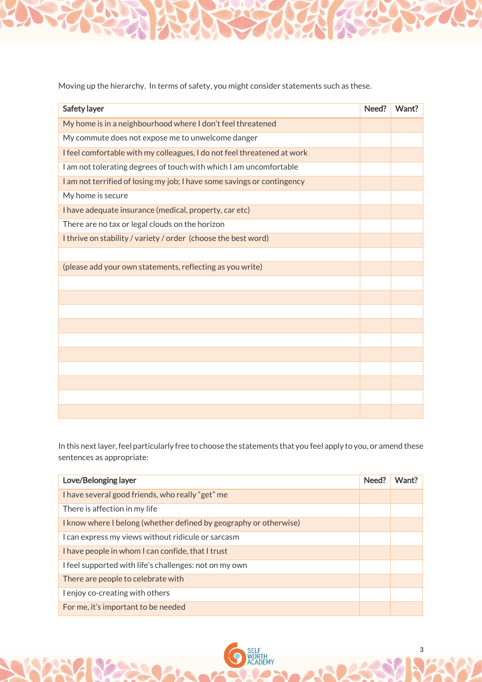Moving up the hierarchy. In terms of safety, you might consider statements such as these.

| Safety layer                                                            | Need? | Want? |
|-------------------------------------------------------------------------|-------|-------|
| My home is in a neighbourhood where I don't feel threatened             |       |       |
| My commute does not expose me to unwelcome danger                       |       |       |
| I feel comfortable with my colleagues, I do not feel threatened at work |       |       |
| I am not tolerating degrees of touch with which I am uncomfortable      |       |       |
| I am not terrified of losing my job; I have some savings or contingency |       |       |
| My home is secure                                                       |       |       |
| I have adequate insurance (medical, property, car etc)                  |       |       |
| There are no tax or legal clouds on the horizon                         |       |       |
| I thrive on stability / variety / order (choose the best word)          |       |       |
|                                                                         |       |       |
| (please add your own statements, reflecting as you write)               |       |       |
|                                                                         |       |       |
|                                                                         |       |       |
|                                                                         |       |       |
|                                                                         |       |       |
|                                                                         |       |       |
|                                                                         |       |       |
|                                                                         |       |       |
|                                                                         |       |       |
|                                                                         |       |       |
|                                                                         |       |       |

In this next layer, feel particularly free to choose the statements that you feel apply to you, or amend these sentences as appropriate:

| Love/Belonging layer                                              | Need? | Want? |
|-------------------------------------------------------------------|-------|-------|
| I have several good friends, who really "get" me                  |       |       |
| There is affection in my life                                     |       |       |
| I know where I belong (whether defined by geography or otherwise) |       |       |
| I can express my views without ridicule or sarcasm                |       |       |
| I have people in whom I can confide, that I trust                 |       |       |
| I feel supported with life's challenges: not on my own            |       |       |
| There are people to celebrate with                                |       |       |
| I enjoy co-creating with others                                   |       |       |
| For me, it's important to be needed                               |       |       |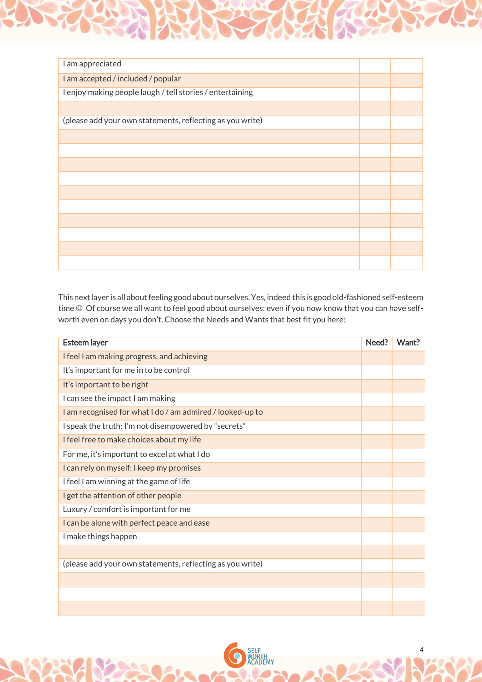| I am appreciated                                          |  |
|-----------------------------------------------------------|--|
| I am accepted / included / popular                        |  |
| I enjoy making people laugh / tell stories / entertaining |  |
|                                                           |  |
| (please add your own statements, reflecting as you write) |  |
|                                                           |  |
|                                                           |  |
|                                                           |  |
|                                                           |  |
|                                                           |  |
|                                                           |  |
|                                                           |  |
|                                                           |  |
|                                                           |  |
|                                                           |  |

This next layer is all about feeling good about ourselves. Yes, indeed this is good old-fashioned self-esteem time  $\odot$  Of course we all want to feel good about ourselves: even if you now know that you can have selfworth even on days you don't. Choose the Needs and Wants that best fit you here:

| <b>Esteem layer</b>                                       | Need? | Want? |
|-----------------------------------------------------------|-------|-------|
| I feel I am making progress, and achieving                |       |       |
| It's important for me in to be control                    |       |       |
| It's important to be right                                |       |       |
| I can see the impact I am making                          |       |       |
| I am recognised for what I do / am admired / looked-up to |       |       |
| I speak the truth: I'm not disempowered by "secrets"      |       |       |
| I feel free to make choices about my life                 |       |       |
| For me, it's important to excel at what I do              |       |       |
| I can rely on myself: I keep my promises                  |       |       |
| I feel I am winning at the game of life                   |       |       |
| I get the attention of other people                       |       |       |
| Luxury / comfort is important for me                      |       |       |
| I can be alone with perfect peace and ease                |       |       |
| I make things happen                                      |       |       |
|                                                           |       |       |
| (please add your own statements, reflecting as you write) |       |       |
|                                                           |       |       |
|                                                           |       |       |
|                                                           |       |       |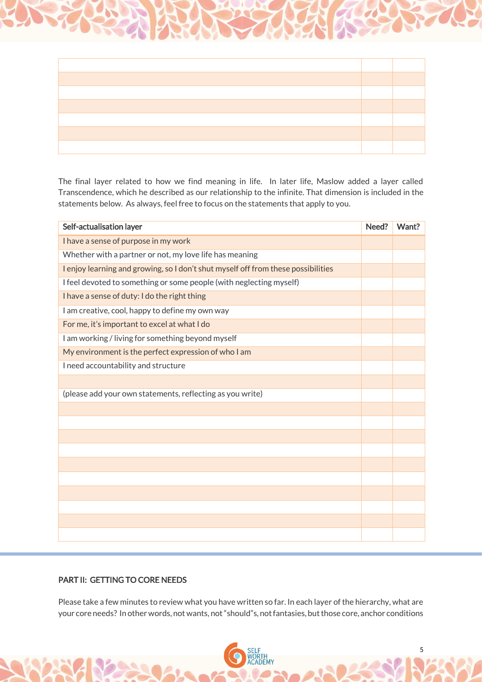

The final layer related to how we find meaning in life. In later life, Maslow added a layer called Transcendence, which he described as our relationship to the infinite. That dimension is included in the statements below. As always, feel free to focus on the statements that apply to you.

| Self-actualisation layer                                                          | Need? | Want? |
|-----------------------------------------------------------------------------------|-------|-------|
| I have a sense of purpose in my work                                              |       |       |
| Whether with a partner or not, my love life has meaning                           |       |       |
| I enjoy learning and growing, so I don't shut myself off from these possibilities |       |       |
| I feel devoted to something or some people (with neglecting myself)               |       |       |
| I have a sense of duty: I do the right thing                                      |       |       |
| I am creative, cool, happy to define my own way                                   |       |       |
| For me, it's important to excel at what I do                                      |       |       |
| I am working / living for something beyond myself                                 |       |       |
| My environment is the perfect expression of who I am                              |       |       |
| I need accountability and structure                                               |       |       |
|                                                                                   |       |       |
| (please add your own statements, reflecting as you write)                         |       |       |
|                                                                                   |       |       |
|                                                                                   |       |       |
|                                                                                   |       |       |
|                                                                                   |       |       |
|                                                                                   |       |       |
|                                                                                   |       |       |
|                                                                                   |       |       |
|                                                                                   |       |       |
|                                                                                   |       |       |
|                                                                                   |       |       |

# PART II: GETTING TO CORE NEEDS

Ĩ

Please take a few minutes to review what you have written so far. In each layer of the hierarchy, what are your core needs? In other words, not wants, not "should"s, not fantasies, but those core, anchor conditions